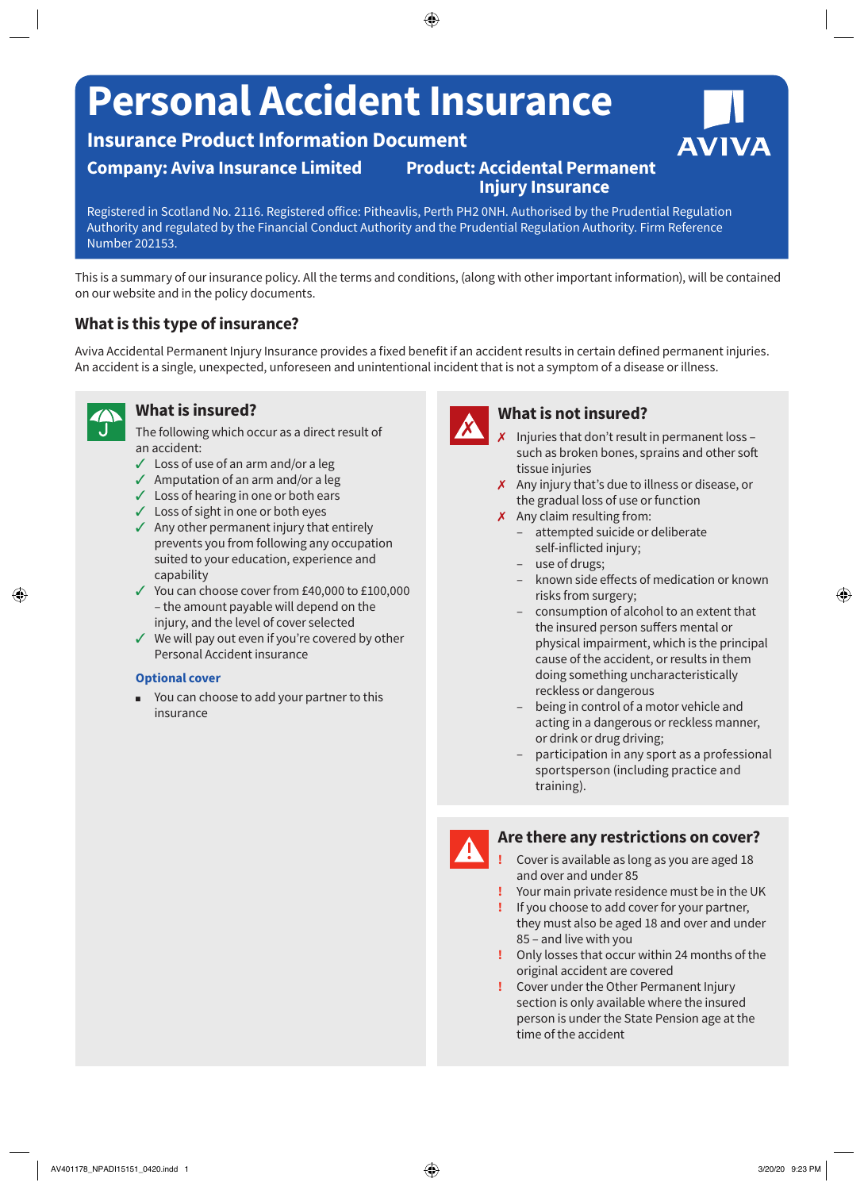# **Personal Accident Insurance**

## **Insurance Product Information Document**

## **Company: Aviva Insurance Limited Product: Accidental Permanent**

## **Injury Insurance**

Registered in Scotland No. 2116. Registered office: Pitheavlis, Perth PH2 0NH. Authorised by the Prudential Regulation Authority and regulated by the Financial Conduct Authority and the Prudential Regulation Authority. Firm Reference Number 202153.

This is a summary of our insurance policy. All the terms and conditions, (along with other important information), will be contained on our website and in the policy documents.

## **What is this type of insurance?**

Aviva Accidental Permanent Injury Insurance provides a fixed benefit if an accident results in certain defined permanent injuries. An accident is a single, unexpected, unforeseen and unintentional incident that is not a symptom of a disease or illness.

### **What is insured?**

The following which occur as a direct result of an accident:

- $\angle$  Loss of use of an arm and/or a leg
- $\sqrt{ }$  Amputation of an arm and/or a leg
- $\checkmark$  Loss of hearing in one or both ears
- $\checkmark$  Loss of sight in one or both eyes
- $\sqrt{ }$  Any other permanent injury that entirely prevents you from following any occupation suited to your education, experience and capability
- $\checkmark$  You can choose cover from £40,000 to £100,000 – the amount payable will depend on the injury, and the level of cover selected
- $\checkmark$  We will pay out even if you're covered by other Personal Accident insurance

#### **Optional cover**

■ You can choose to add your partner to this insurance

 $\boldsymbol{\chi}$ 

## **What is not insured?**

- 7 Injuries that don't result in permanent loss such as broken bones, sprains and other soft tissue injuries
- $\boldsymbol{\chi}$  Any injury that's due to illness or disease, or the gradual loss of use or function
- $\chi$  Any claim resulting from:
	- attempted suicide or deliberate self-inflicted injury;
	- use of drugs;
	- known side effects of medication or known risks from surgery;
	- consumption of alcohol to an extent that the insured person suffers mental or physical impairment, which is the principal cause of the accident, or results in them doing something uncharacteristically reckless or dangerous
	- being in control of a motor vehicle and acting in a dangerous or reckless manner, or drink or drug driving;
	- participation in any sport as a professional sportsperson (including practice and training).

### **Are there any restrictions on cover?**

- **!** Cover is available as long as you are aged 18 and over and under 85
- **!** Your main private residence must be in the UK
- **!** If you choose to add cover for your partner, they must also be aged 18 and over and under 85 – and live with you
- **!** Only losses that occur within 24 months of the original accident are covered
- **!** Cover under the Other Permanent Injury section is only available where the insured person is under the State Pension age at the time of the accident